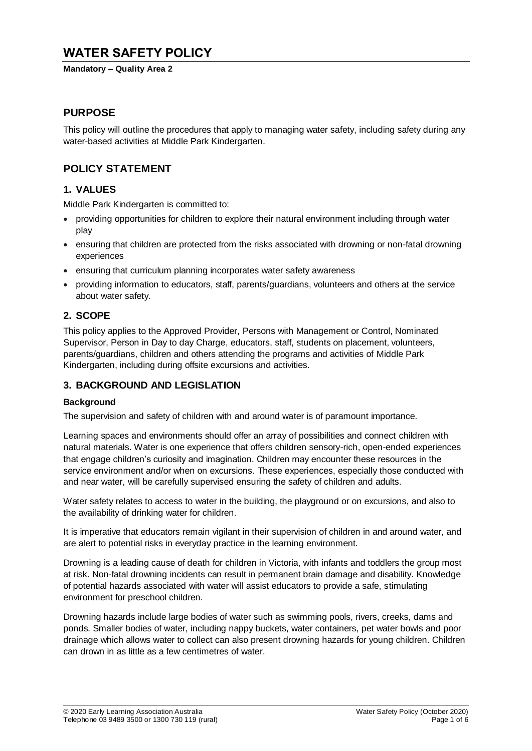# **WATER SAFETY POLICY**

#### **Mandatory – Quality Area 2**

## **PURPOSE**

This policy will outline the procedures that apply to managing water safety, including safety during any water-based activities at Middle Park Kindergarten.

## **POLICY STATEMENT**

## **1. VALUES**

Middle Park Kindergarten is committed to:

- providing opportunities for children to explore their natural environment including through water play
- ensuring that children are protected from the risks associated with drowning or non-fatal drowning experiences
- ensuring that curriculum planning incorporates water safety awareness
- providing information to educators, staff, parents/guardians, volunteers and others at the service about water safety.

## **2. SCOPE**

This policy applies to the Approved Provider, Persons with Management or Control, Nominated Supervisor, Person in Day to day Charge, educators, staff, students on placement, volunteers, parents/guardians, children and others attending the programs and activities of Middle Park Kindergarten, including during offsite excursions and activities.

### **3. BACKGROUND AND LEGISLATION**

### **Background**

The supervision and safety of children with and around water is of paramount importance.

Learning spaces and environments should offer an array of possibilities and connect children with natural materials. Water is one experience that offers children sensory-rich, open-ended experiences that engage children's curiosity and imagination. Children may encounter these resources in the service environment and/or when on excursions. These experiences, especially those conducted with and near water, will be carefully supervised ensuring the safety of children and adults.

Water safety relates to access to water in the building, the playground or on excursions, and also to the availability of drinking water for children.

It is imperative that educators remain vigilant in their supervision of children in and around water, and are alert to potential risks in everyday practice in the learning environment.

Drowning is a leading cause of death for children in Victoria, with infants and toddlers the group most at risk. Non-fatal drowning incidents can result in permanent brain damage and disability. Knowledge of potential hazards associated with water will assist educators to provide a safe, stimulating environment for preschool children.

Drowning hazards include large bodies of water such as swimming pools, rivers, creeks, dams and ponds. Smaller bodies of water, including nappy buckets, water containers, pet water bowls and poor drainage which allows water to collect can also present drowning hazards for young children. Children can drown in as little as a few centimetres of water.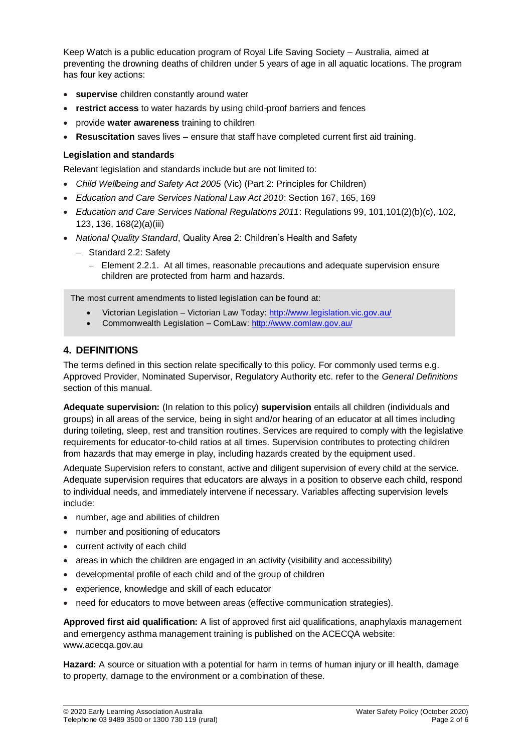Keep Watch is a public education program of Royal Life Saving Society – Australia, aimed at preventing the drowning deaths of children under 5 years of age in all aquatic locations. The program has four key actions:

- **supervise** children constantly around water
- **restrict access** to water hazards by using child-proof barriers and fences
- provide **water awareness** training to children
- **Resuscitation** saves lives ensure that staff have completed current first aid training.

#### **Legislation and standards**

Relevant legislation and standards include but are not limited to:

- *Child Wellbeing and Safety Act 2005* (Vic) (Part 2: Principles for Children)
- *Education and Care Services National Law Act 2010*: Section 167, 165, 169
- *Education and Care Services National Regulations 2011*: Regulations 99, 101,101(2)(b)(c), 102, 123, 136, 168(2)(a)(iii)
- *National Quality Standard*, Quality Area 2: Children's Health and Safety
	- Standard 2.2: Safety
		- Element 2.2.1. At all times, reasonable precautions and adequate supervision ensure children are protected from harm and hazards.

The most current amendments to listed legislation can be found at:

- Victorian Legislation Victorian Law Today:<http://www.legislation.vic.gov.au/>
- Commonwealth Legislation ComLaw:<http://www.comlaw.gov.au/>

## **4. DEFINITIONS**

The terms defined in this section relate specifically to this policy. For commonly used terms e.g. Approved Provider, Nominated Supervisor, Regulatory Authority etc. refer to the *General Definitions* section of this manual.

**Adequate supervision:** (In relation to this policy) **supervision** entails all children (individuals and groups) in all areas of the service, being in sight and/or hearing of an educator at all times including during toileting, sleep, rest and transition routines. Services are required to comply with the legislative requirements for educator-to-child ratios at all times. Supervision contributes to protecting children from hazards that may emerge in play, including hazards created by the equipment used.

Adequate Supervision refers to constant, active and diligent supervision of every child at the service. Adequate supervision requires that educators are always in a position to observe each child, respond to individual needs, and immediately intervene if necessary. Variables affecting supervision levels include:

- number, age and abilities of children
- number and positioning of educators
- current activity of each child
- areas in which the children are engaged in an activity (visibility and accessibility)
- developmental profile of each child and of the group of children
- experience, knowledge and skill of each educator
- need for educators to move between areas (effective communication strategies).

**Approved first aid qualification:** A list of approved first aid qualifications, anaphylaxis management and emergency asthma management training is published on the ACECQA website: www.acecqa.gov.au

**Hazard:** A source or situation with a potential for harm in terms of human injury or ill health, damage to property, damage to the environment or a combination of these.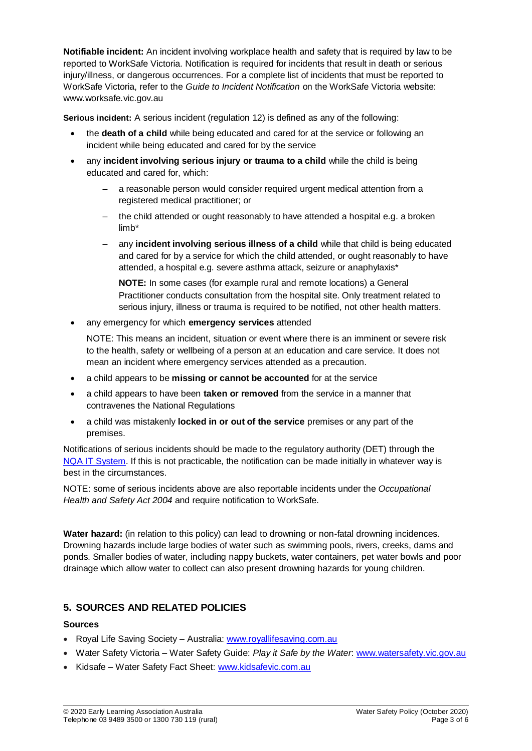**Notifiable incident:** An incident involving workplace health and safety that is required by law to be reported to WorkSafe Victoria. Notification is required for incidents that result in death or serious injury/illness, or dangerous occurrences. For a complete list of incidents that must be reported to WorkSafe Victoria, refer to the *Guide to Incident Notification* on the WorkSafe Victoria website: www.worksafe.vic.gov.au

**Serious incident:** A serious incident (regulation 12) is defined as any of the following:

- the **death of a child** while being educated and cared for at the service or following an incident while being educated and cared for by the service
- any **incident involving serious injury or trauma to a child** while the child is being educated and cared for, which:
	- a reasonable person would consider required urgent medical attention from a registered medical practitioner; or
	- the child attended or ought reasonably to have attended a hospital e.g. a broken limb\*
	- any **incident involving serious illness of a child** while that child is being educated and cared for by a service for which the child attended, or ought reasonably to have attended, a hospital e.g. severe asthma attack, seizure or anaphylaxis\*

**NOTE:** In some cases (for example rural and remote locations) a General Practitioner conducts consultation from the hospital site. Only treatment related to serious injury, illness or trauma is required to be notified, not other health matters.

any emergency for which **emergency services** attended

NOTE: This means an incident, situation or event where there is an imminent or severe risk to the health, safety or wellbeing of a person at an education and care service. It does not mean an incident where emergency services attended as a precaution.

- a child appears to be **missing or cannot be accounted** for at the service
- a child appears to have been **taken or removed** from the service in a manner that contravenes the National Regulations
- a child was mistakenly **locked in or out of the service** premises or any part of the premises.

Notifications of serious incidents should be made to the regulatory authority (DET) through the [NQA IT System.](https://www.acecqa.gov.au/resources/national-quality-agenda-it-system) If this is not practicable, the notification can be made initially in whatever way is best in the circumstances.

NOTE: some of serious incidents above are also reportable incidents under the *Occupational Health and Safety Act 2004* and require notification to WorkSafe.

**Water hazard:** (in relation to this policy) can lead to drowning or non-fatal drowning incidences. Drowning hazards include large bodies of water such as swimming pools, rivers, creeks, dams and ponds. Smaller bodies of water, including nappy buckets, water containers, pet water bowls and poor drainage which allow water to collect can also present drowning hazards for young children.

## **5. SOURCES AND RELATED POLICIES**

### **Sources**

- Royal Life Saving Society Australia: [www.royallifesaving.com.au](http://www.royallifesaving.com.au/)
- Water Safety Victoria Water Safety Guide: *Play it Safe by the Water*[: www.watersafety.vic.gov.au](http://www.watersafety.vic.gov.au/)
- Kidsafe Water Safety Fact Sheet: [www.kidsafevic.com.au](http://www.kidsafevic.com.au/)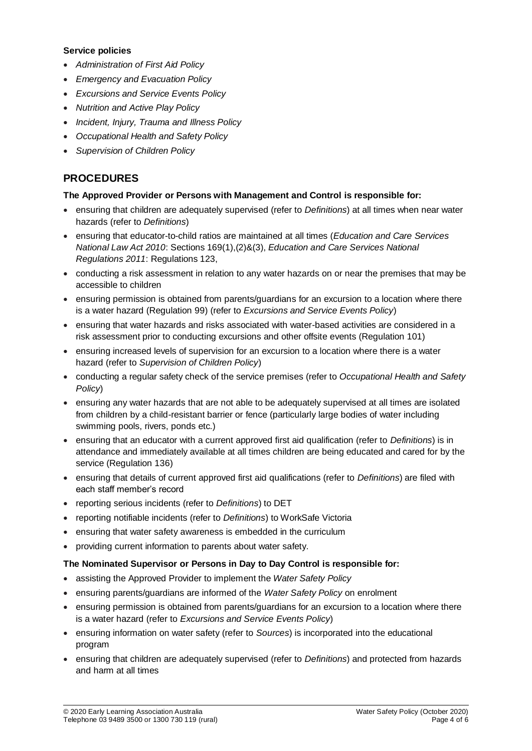#### **Service policies**

- *Administration of First Aid Policy*
- *Emergency and Evacuation Policy*
- *Excursions and Service Events Policy*
- *Nutrition and Active Play Policy*
- *Incident, Injury, Trauma and Illness Policy*
- *Occupational Health and Safety Policy*
- *Supervision of Children Policy*

## **PROCEDURES**

## **The Approved Provider or Persons with Management and Control is responsible for:**

- ensuring that children are adequately supervised (refer to *Definitions*) at all times when near water hazards (refer to *Definitions*)
- ensuring that educator-to-child ratios are maintained at all times (*Education and Care Services National Law Act 2010*: Sections 169(1),(2)&(3), *Education and Care Services National Regulations 2011*: Regulations 123,
- conducting a risk assessment in relation to any water hazards on or near the premises that may be accessible to children
- ensuring permission is obtained from parents/guardians for an excursion to a location where there is a water hazard (Regulation 99) (refer to *Excursions and Service Events Policy*)
- ensuring that water hazards and risks associated with water-based activities are considered in a risk assessment prior to conducting excursions and other offsite events (Regulation 101)
- ensuring increased levels of supervision for an excursion to a location where there is a water hazard (refer to *Supervision of Children Policy*)
- conducting a regular safety check of the service premises (refer to *Occupational Health and Safety Policy*)
- ensuring any water hazards that are not able to be adequately supervised at all times are isolated from children by a child-resistant barrier or fence (particularly large bodies of water including swimming pools, rivers, ponds etc.)
- ensuring that an educator with a current approved first aid qualification (refer to *Definitions*) is in attendance and immediately available at all times children are being educated and cared for by the service (Regulation 136)
- ensuring that details of current approved first aid qualifications (refer to *Definitions*) are filed with each staff member's record
- reporting serious incidents (refer to *Definitions*) to DET
- reporting notifiable incidents (refer to *Definitions*) to WorkSafe Victoria
- ensuring that water safety awareness is embedded in the curriculum
- providing current information to parents about water safety.

### **The Nominated Supervisor or Persons in Day to Day Control is responsible for:**

- assisting the Approved Provider to implement the *Water Safety Policy*
- ensuring parents/guardians are informed of the *Water Safety Policy* on enrolment
- ensuring permission is obtained from parents/guardians for an excursion to a location where there is a water hazard (refer to *Excursions and Service Events Policy*)
- ensuring information on water safety (refer to *Sources*) is incorporated into the educational program
- ensuring that children are adequately supervised (refer to *Definitions*) and protected from hazards and harm at all times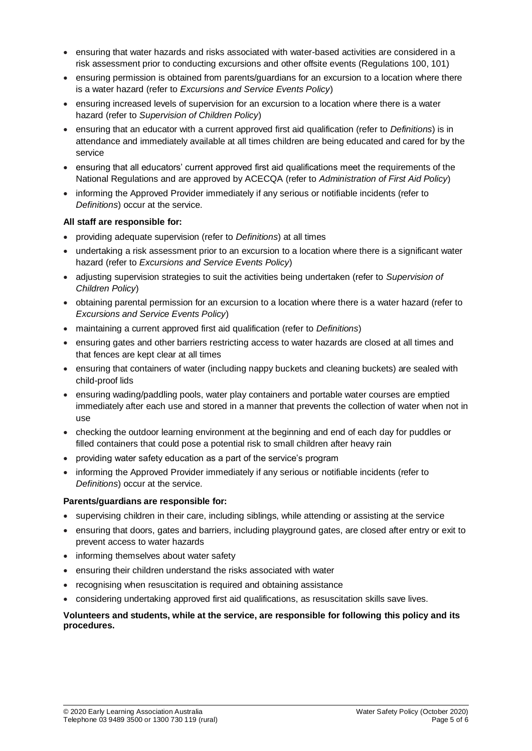- ensuring that water hazards and risks associated with water-based activities are considered in a risk assessment prior to conducting excursions and other offsite events (Regulations 100, 101)
- ensuring permission is obtained from parents/guardians for an excursion to a location where there is a water hazard (refer to *Excursions and Service Events Policy*)
- ensuring increased levels of supervision for an excursion to a location where there is a water hazard (refer to *Supervision of Children Policy*)
- ensuring that an educator with a current approved first aid qualification (refer to *Definitions*) is in attendance and immediately available at all times children are being educated and cared for by the service
- ensuring that all educators' current approved first aid qualifications meet the requirements of the National Regulations and are approved by ACECQA (refer to *Administration of First Aid Policy*)
- informing the Approved Provider immediately if any serious or notifiable incidents (refer to *Definitions*) occur at the service.

#### **All staff are responsible for:**

- providing adequate supervision (refer to *Definitions*) at all times
- undertaking a risk assessment prior to an excursion to a location where there is a significant water hazard (refer to *Excursions and Service Events Policy*)
- adjusting supervision strategies to suit the activities being undertaken (refer to *Supervision of Children Policy*)
- obtaining parental permission for an excursion to a location where there is a water hazard (refer to *Excursions and Service Events Policy*)
- maintaining a current approved first aid qualification (refer to *Definitions*)
- ensuring gates and other barriers restricting access to water hazards are closed at all times and that fences are kept clear at all times
- ensuring that containers of water (including nappy buckets and cleaning buckets) are sealed with child-proof lids
- ensuring wading/paddling pools, water play containers and portable water courses are emptied immediately after each use and stored in a manner that prevents the collection of water when not in use
- checking the outdoor learning environment at the beginning and end of each day for puddles or filled containers that could pose a potential risk to small children after heavy rain
- providing water safety education as a part of the service's program
- informing the Approved Provider immediately if any serious or notifiable incidents (refer to *Definitions*) occur at the service.

#### **Parents/guardians are responsible for:**

- supervising children in their care, including siblings, while attending or assisting at the service
- ensuring that doors, gates and barriers, including playground gates, are closed after entry or exit to prevent access to water hazards
- informing themselves about water safety
- ensuring their children understand the risks associated with water
- recognising when resuscitation is required and obtaining assistance
- considering undertaking approved first aid qualifications, as resuscitation skills save lives.

#### **Volunteers and students, while at the service, are responsible for following this policy and its procedures.**